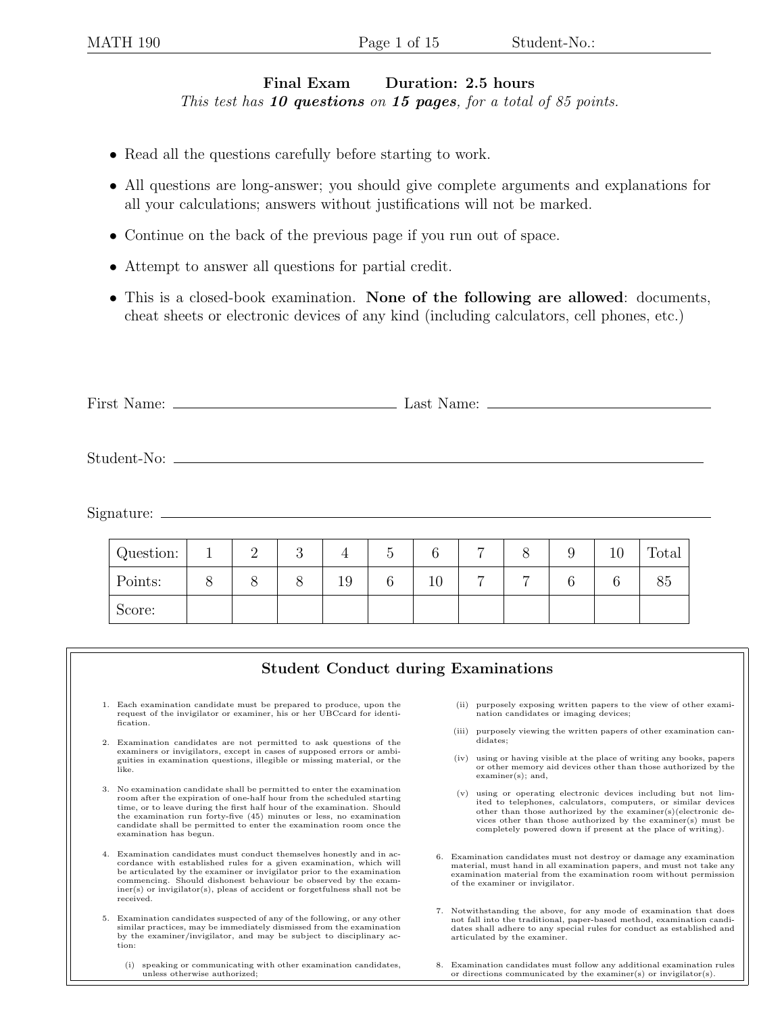## Final Exam Duration: 2.5 hours This test has  $10$  questions on  $15$  pages, for a total of  $85$  points.

- Read all the questions carefully before starting to work.
- All questions are long-answer; you should give complete arguments and explanations for all your calculations; answers without justifications will not be marked.
- Continue on the back of the previous page if you run out of space.
- Attempt to answer all questions for partial credit.
- This is a closed-book examination. None of the following are allowed: documents, cheat sheets or electronic devices of any kind (including calculators, cell phones, etc.)

First Name: Last Name:

Student-No:

Signature:

| Question: | $\Omega$ | $\Omega$<br>◡ |    | G |    | − |   | 10 | Total |
|-----------|----------|---------------|----|---|----|---|---|----|-------|
| Points:   |          |               | 19 | 0 | 10 | − | ⇁ |    | 85    |
| Score:    |          |               |    |   |    |   |   |    |       |

|                                                                                                                                                                                                                                                                                                                                                                                                         | <b>Student Conduct during Examinations</b>                                                                                                                                                                                                                                                                                             |
|---------------------------------------------------------------------------------------------------------------------------------------------------------------------------------------------------------------------------------------------------------------------------------------------------------------------------------------------------------------------------------------------------------|----------------------------------------------------------------------------------------------------------------------------------------------------------------------------------------------------------------------------------------------------------------------------------------------------------------------------------------|
| 1. Each examination candidate must be prepared to produce, upon the<br>request of the invigilator or examiner, his or her UBCcard for identi-<br>fication.                                                                                                                                                                                                                                              | purposely exposing written papers to the view of other exami-<br>(ii)<br>nation candidates or imaging devices;                                                                                                                                                                                                                         |
| Examination candidates are not permitted to ask questions of the<br>2.                                                                                                                                                                                                                                                                                                                                  | purposely viewing the written papers of other examination can-<br>(iii)<br>didates;                                                                                                                                                                                                                                                    |
| examiners or invigilators, except in cases of supposed errors or ambi-<br>guities in examination questions, illegible or missing material, or the<br>like.                                                                                                                                                                                                                                              | using or having visible at the place of writing any books, papers<br>(iv)<br>or other memory aid devices other than those authorized by the<br>$examiner(s);$ and,                                                                                                                                                                     |
| No examination candidate shall be permitted to enter the examination<br>3.<br>room after the expiration of one-half hour from the scheduled starting<br>time, or to leave during the first half hour of the examination. Should<br>the examination run forty-five (45) minutes or less, no examination<br>candidate shall be permitted to enter the examination room once the<br>examination has begun. | using or operating electronic devices including but not lim-<br>(v)<br>ited to telephones, calculators, computers, or similar devices<br>other than those authorized by the examiner(s)(electronic de-<br>vices other than those authorized by the examiner(s) must be<br>completely powered down if present at the place of writing). |
| 4. Examination candidates must conduct themselves honestly and in ac-<br>cordance with established rules for a given examination, which will<br>be articulated by the examiner or invigilator prior to the examination<br>commencing. Should dishonest behaviour be observed by the exam-<br>$\text{iner}(s)$ or invigilator(s), pleas of accident or forgetfulness shall not be<br>received.           | Examination candidates must not destroy or damage any examination<br>6.<br>material, must hand in all examination papers, and must not take any<br>examination material from the examination room without permission<br>of the examiner or invigilator.                                                                                |
| Examination candidates suspected of any of the following, or any other<br>5.<br>similar practices, may be immediately dismissed from the examination<br>by the examiner/invigilator, and may be subject to disciplinary ac-<br>tion:                                                                                                                                                                    | 7. Notwithstanding the above, for any mode of examination that does<br>not fall into the traditional, paper-based method, examination candi-<br>dates shall adhere to any special rules for conduct as established and<br>articulated by the examiner.                                                                                 |
| speaking or communicating with other examination candidates,<br>(i)<br>unless otherwise authorized;                                                                                                                                                                                                                                                                                                     | Examination candidates must follow any additional examination rules<br>or directions communicated by the examiner(s) or invigilator(s).                                                                                                                                                                                                |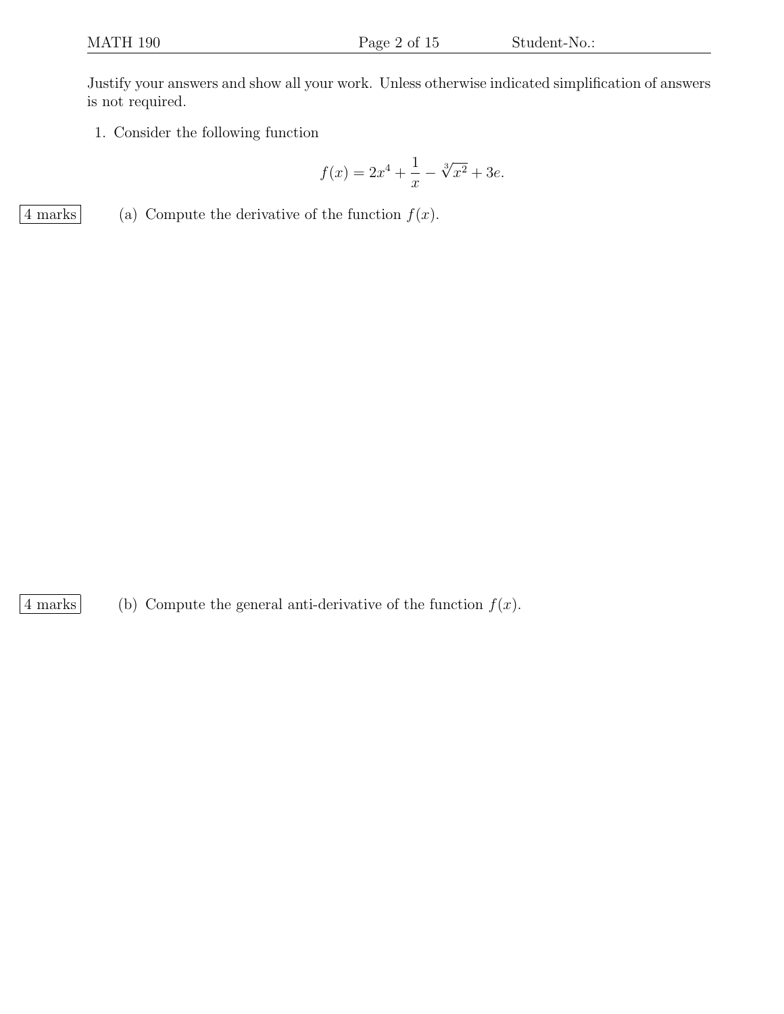Justify your answers and show all your work. Unless otherwise indicated simplification of answers is not required.

1. Consider the following function

$$
f(x) = 2x^4 + \frac{1}{x} - \sqrt[3]{x^2} + 3e.
$$

4 marks (a) Compute the derivative of the function  $f(x)$ .

 $|4 \text{ marks}|$  (b) Compute the general anti-derivative of the function  $f(x)$ .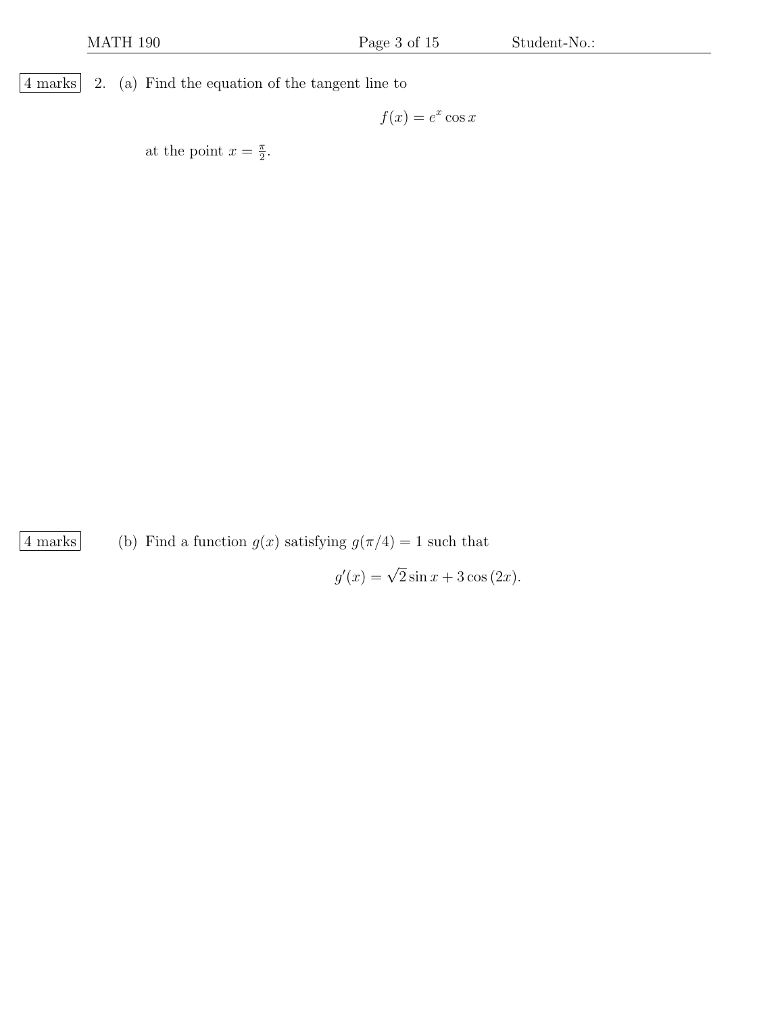$\begin{vmatrix} 4 \text{ marks} & 2 \\ 4 \text{ marks} & 2 \end{vmatrix}$  (a) Find the equation of the tangent line to

 $f(x) = e^x \cos x$ 

at the point  $x = \frac{\pi}{2}$  $\frac{\pi}{2}$ .

4 marks (b) Find a function  $g(x)$  satisfying  $g(\pi/4) = 1$  such that

 $g'(x) = \sqrt{2} \sin x + 3 \cos (2x).$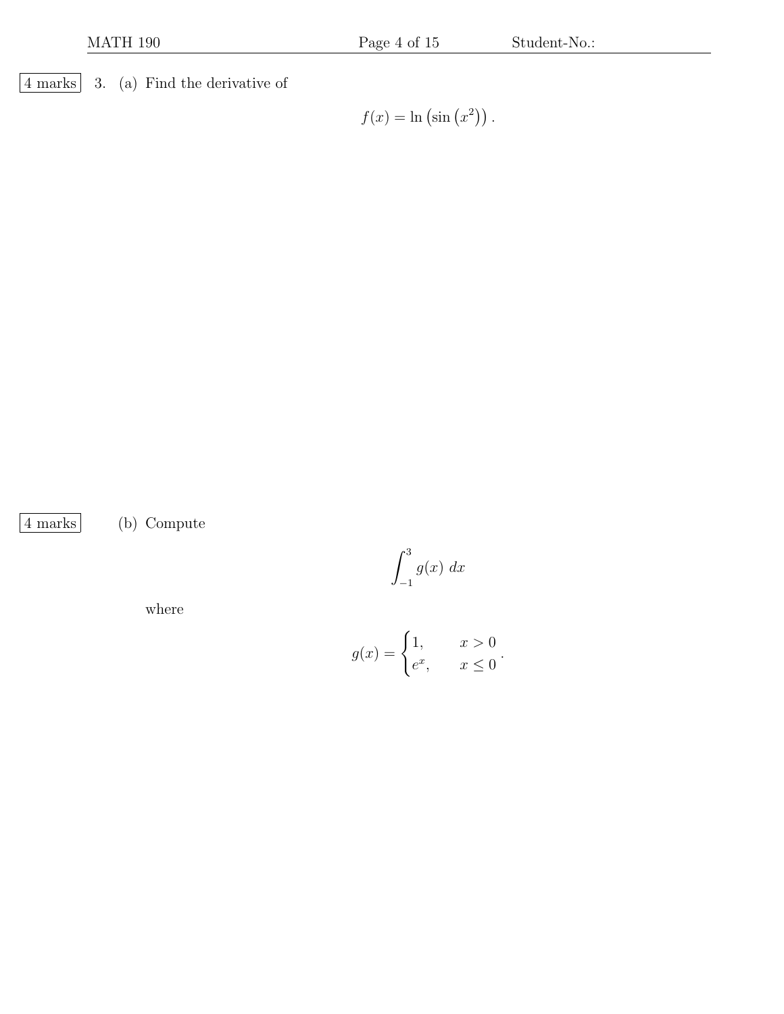4 marks 3. (a) Find the derivative of

 $f(x) = \ln (\sin (x^{2}))$ .

4 marks (b) Compute

$$
\int_{-1}^{3} g(x) \ dx
$$

where

$$
g(x) = \begin{cases} 1, & x > 0 \\ e^x, & x \le 0 \end{cases}.
$$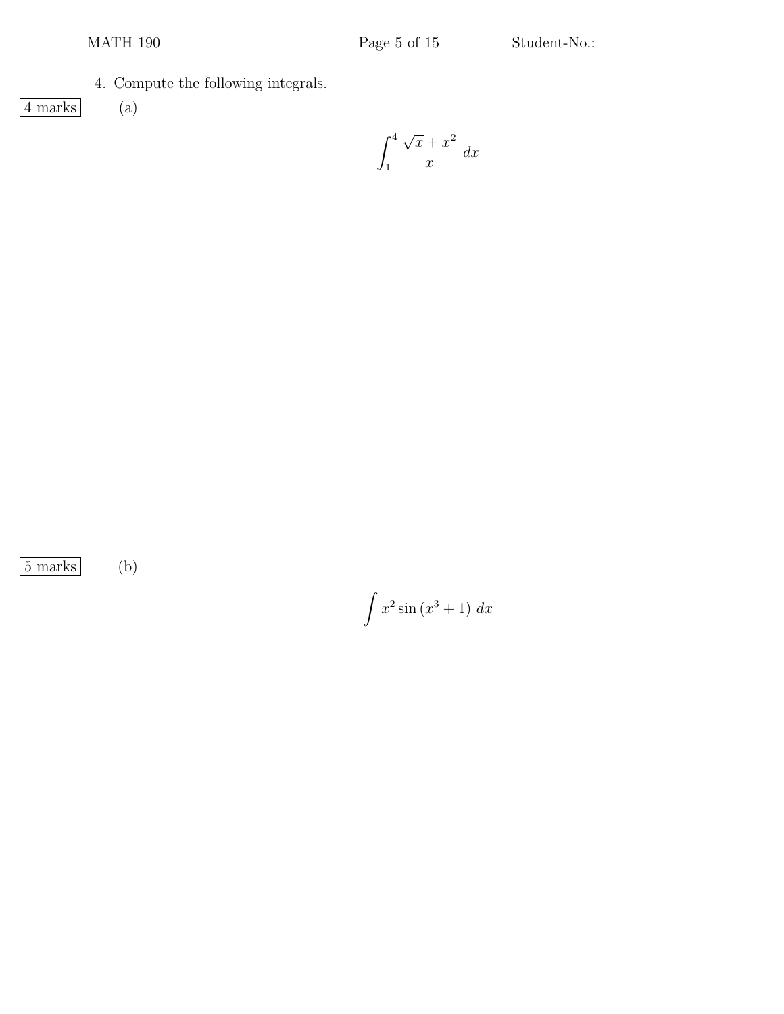4 marks (a)

4. Compute the following integrals.

$$
\int_{1}^{4} \frac{\sqrt{x} + x^2}{x} \, dx
$$

 $\boxed{5 \text{ marks}}$  (b)

$$
\int x^2 \sin\left(x^3 + 1\right) \, dx
$$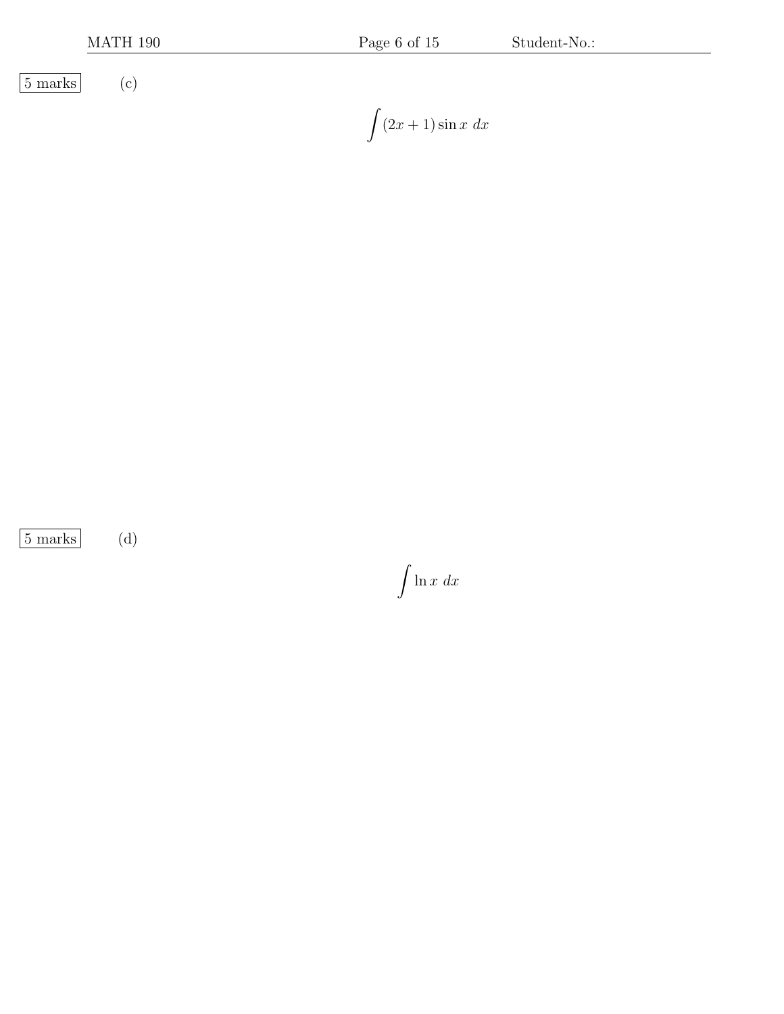|  |  | MATH 190 |  |
|--|--|----------|--|
|--|--|----------|--|

 $\boxed{5 \text{ marks}}$  (c)

 $\int (2x+1) \sin x \ dx$ 

 $\boxed{5 \text{ marks}} \qquad \text{(d)}$ 

 $\int \ln x \ dx$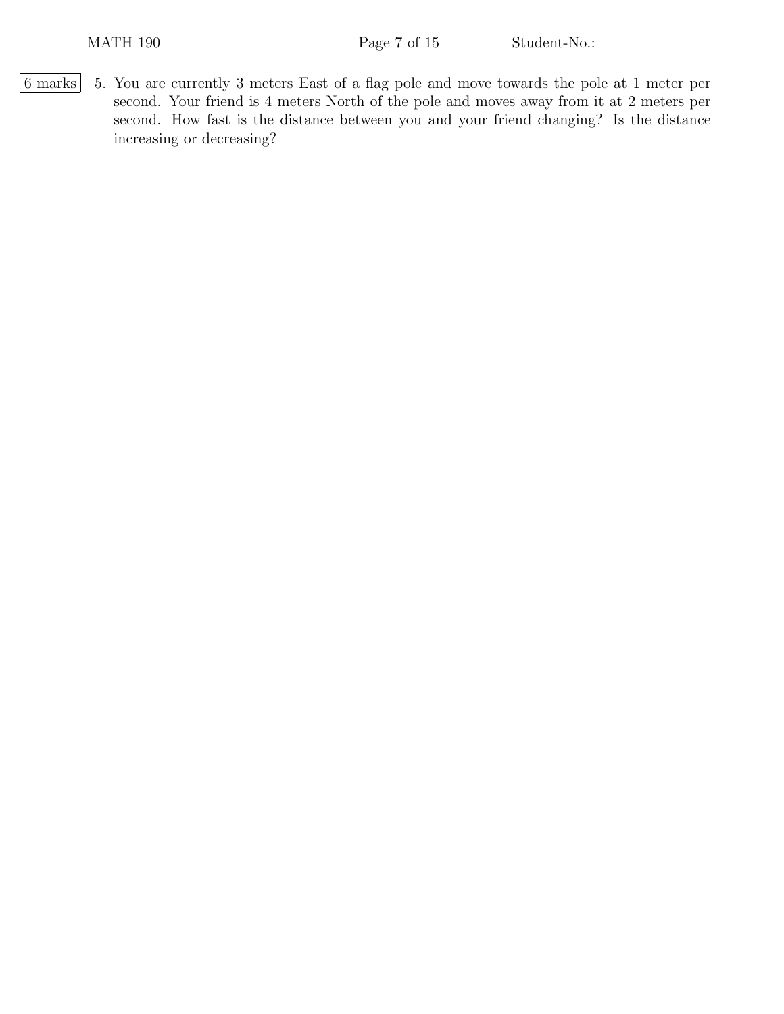6 marks 5. You are currently 3 meters East of a flag pole and move towards the pole at 1 meter per second. Your friend is 4 meters North of the pole and moves away from it at 2 meters per second. How fast is the distance between you and your friend changing? Is the distance increasing or decreasing?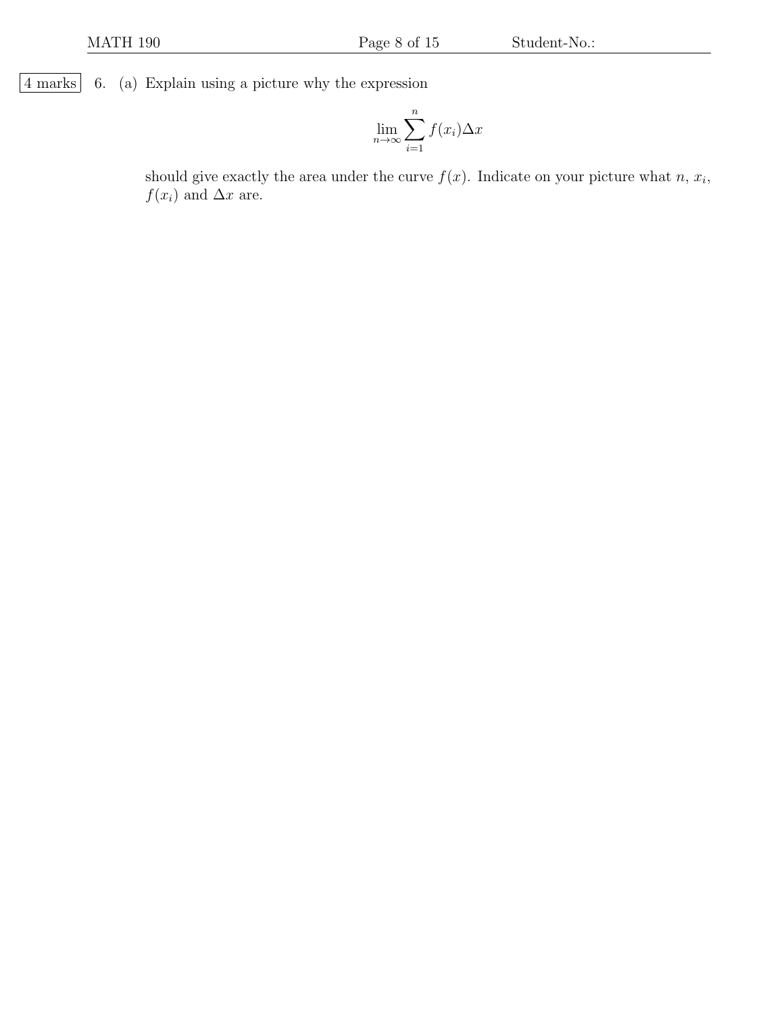4 marks 6. (a) Explain using a picture why the expression

$$
\lim_{n \to \infty} \sum_{i=1}^{n} f(x_i) \Delta x
$$

should give exactly the area under the curve  $f(x)$ . Indicate on your picture what n,  $x_i$ ,  $f(x_i)$  and  $\Delta x$  are.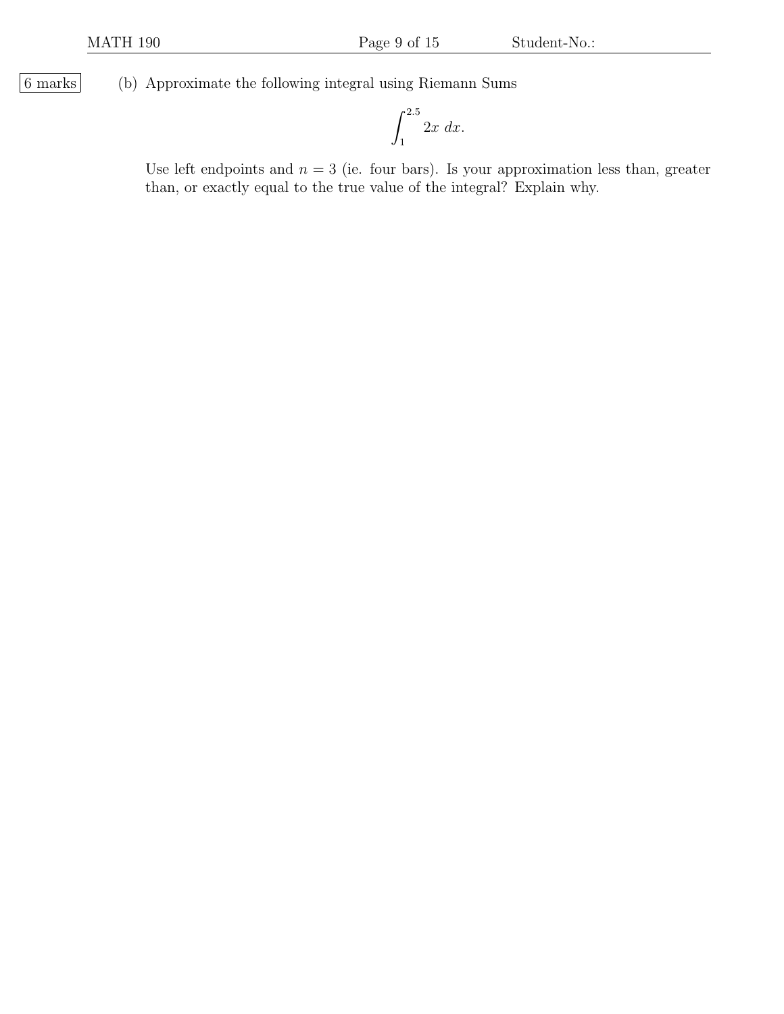6 marks (b) Approximate the following integral using Riemann Sums

$$
\int_{1}^{2.5} 2x \ dx.
$$

Use left endpoints and  $n = 3$  (ie. four bars). Is your approximation less than, greater than, or exactly equal to the true value of the integral? Explain why.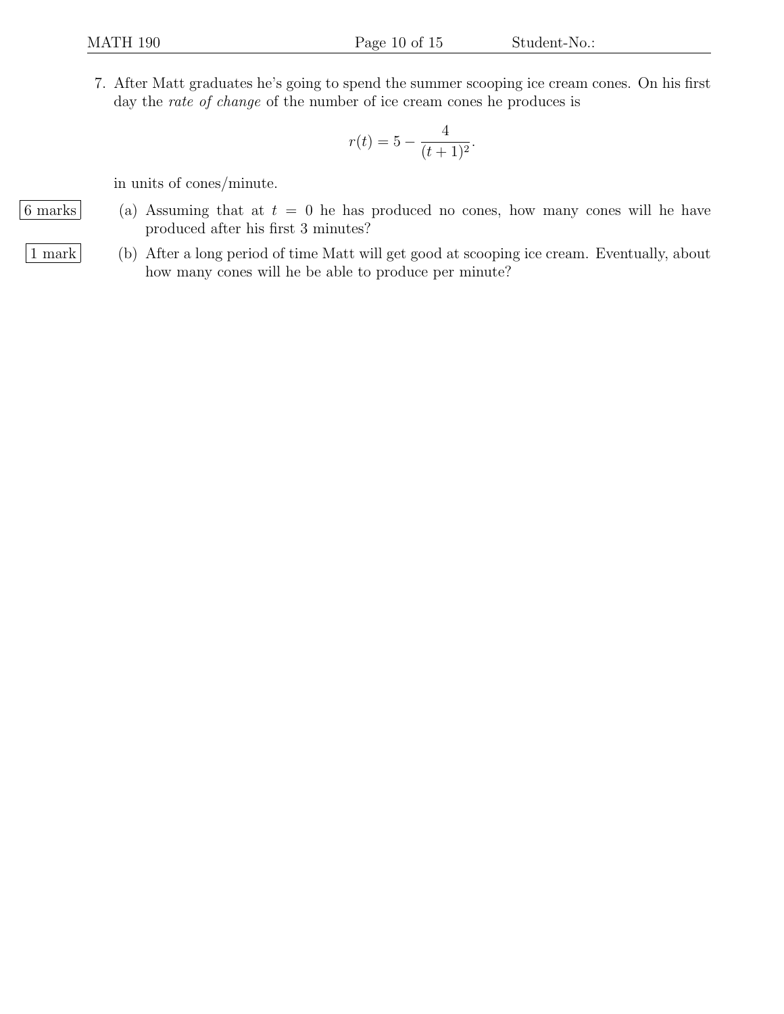7. After Matt graduates he's going to spend the summer scooping ice cream cones. On his first day the *rate of change* of the number of ice cream cones he produces is

$$
r(t) = 5 - \frac{4}{(t+1)^2}.
$$

in units of cones/minute.

- 6 marks (a) Assuming that at  $t = 0$  he has produced no cones, how many cones will he have produced after his first 3 minutes?
- 1 mark (b) After a long period of time Matt will get good at scooping ice cream. Eventually, about how many cones will he be able to produce per minute?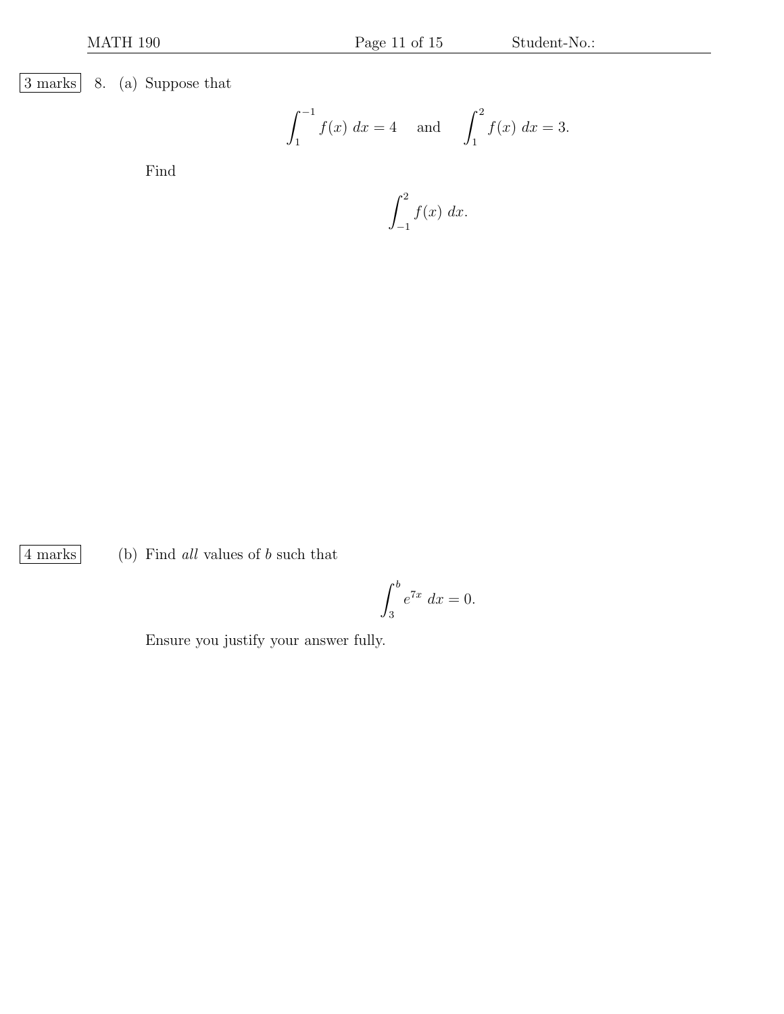- 
- 3 marks 8. (a) Suppose that

$$
\int_{1}^{-1} f(x) dx = 4 \quad \text{and} \quad \int_{1}^{2} f(x) dx = 3.
$$

Find

$$
\int_{-1}^{2} f(x) \ dx.
$$

 $\boxed{4 \text{ marks}}$  (b) Find *all* values of *b* such that

$$
\int_3^b e^{7x} dx = 0.
$$

Ensure you justify your answer fully.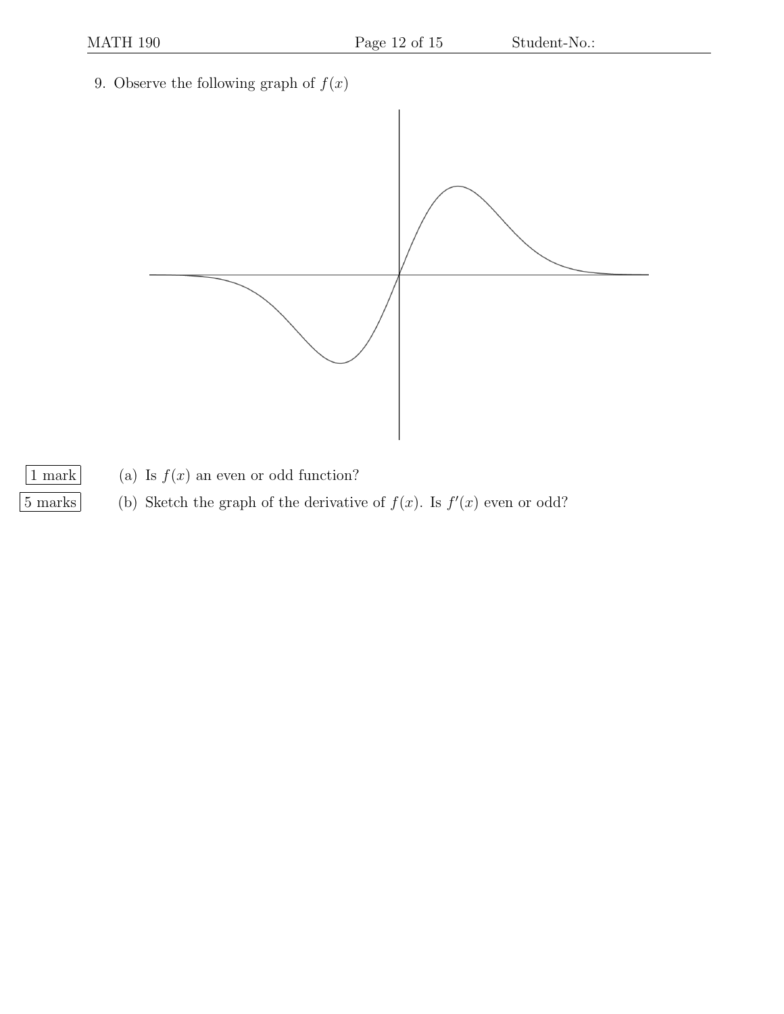

- $\boxed{1 \text{ mark}}$  (a) Is  $f(x)$  an even or odd function?
- 5 marks (b) Sketch the graph of the derivative of  $f(x)$ . Is  $f'(x)$  even or odd?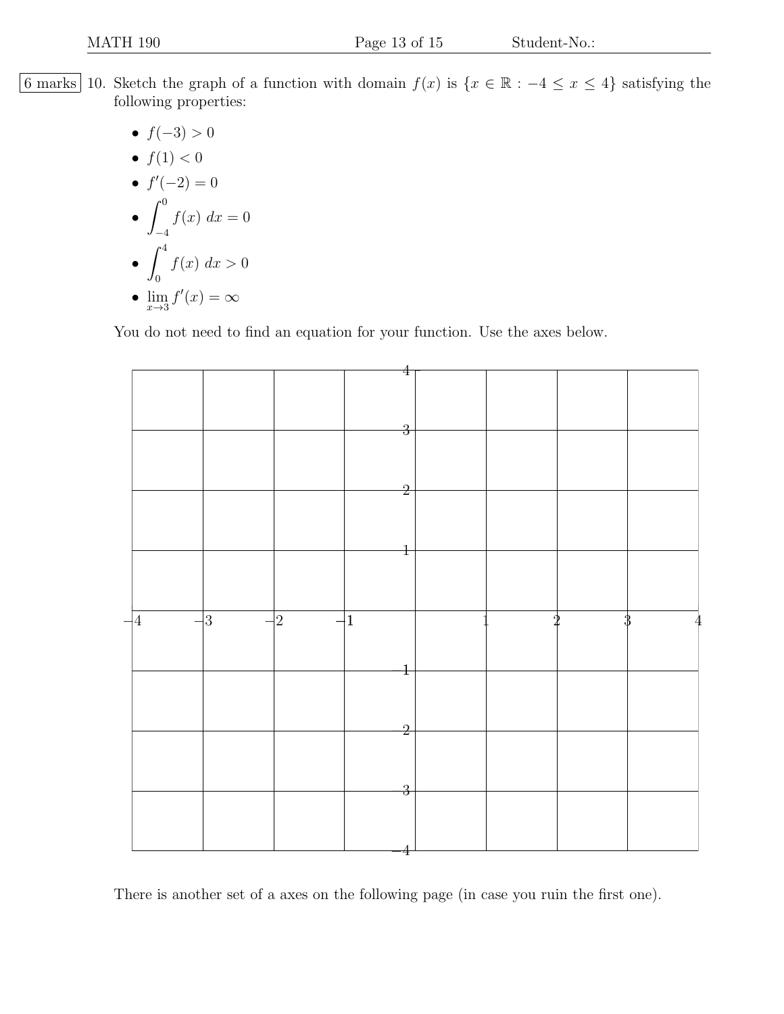- 6 marks 10. Sketch the graph of a function with domain  $f(x)$  is  $\{x \in \mathbb{R} : -4 \le x \le 4\}$  satisfying the following properties:
	- $f(-3) > 0$
	- $f(1) < 0$
	- $f'(-2) = 0$  $\bullet$   $\int_0^0$ −4  $f(x) dx = 0$  $\bullet$   $\int_0^4$  $f(x) dx > 0$

$$
\bullet \ \lim_{x \to 3} f'(x) = \infty
$$

You do not need to find an equation for your function. Use the axes below.



There is another set of a axes on the following page (in case you ruin the first one).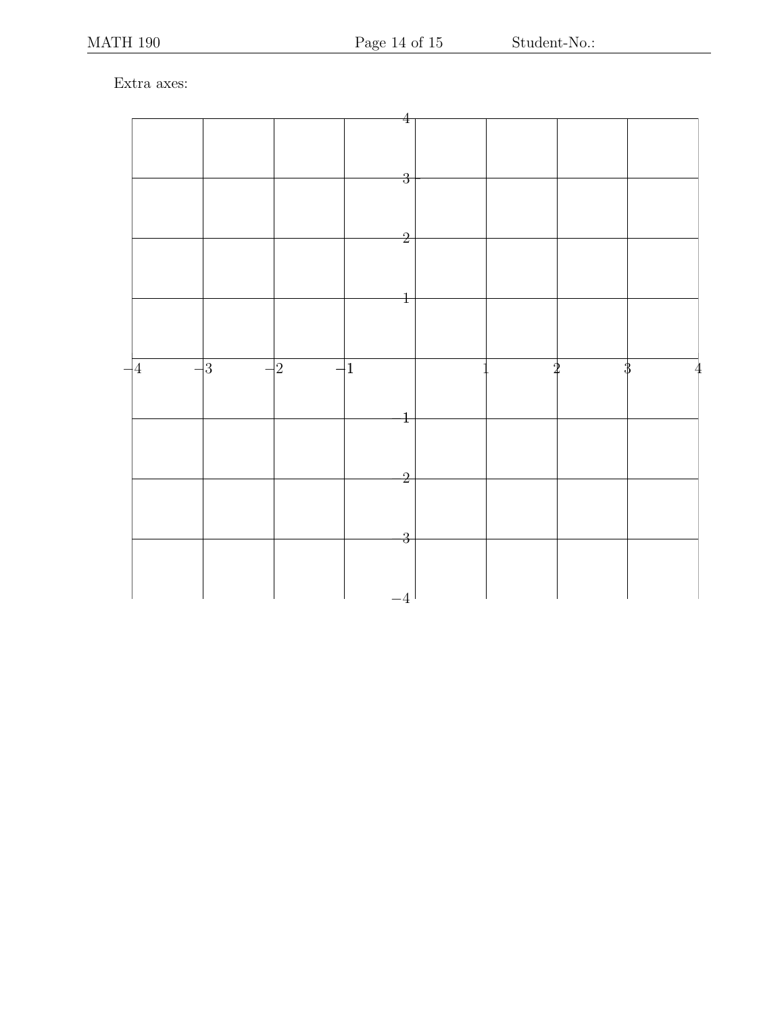## Extra axes:

|      |      |                                  | 4                       |  |   |   |
|------|------|----------------------------------|-------------------------|--|---|---|
|      |      |                                  |                         |  |   |   |
|      |      |                                  |                         |  |   |   |
|      |      |                                  |                         |  |   |   |
|      |      |                                  | $\overline{\mathbf{3}}$ |  |   |   |
|      |      |                                  |                         |  |   |   |
|      |      |                                  |                         |  |   |   |
|      |      |                                  |                         |  |   |   |
|      |      |                                  |                         |  |   |   |
|      |      |                                  | $\overline{2}$          |  |   |   |
|      |      |                                  |                         |  |   |   |
|      |      |                                  |                         |  |   |   |
|      |      |                                  |                         |  |   |   |
|      |      |                                  |                         |  |   |   |
|      |      |                                  | $\mathbf{1}$            |  |   |   |
|      |      |                                  |                         |  |   |   |
|      |      |                                  |                         |  |   |   |
|      |      |                                  |                         |  |   |   |
|      |      |                                  |                         |  |   |   |
|      |      |                                  |                         |  |   |   |
|      |      |                                  |                         |  |   |   |
| $-4$ | $-3$ | $-2$<br>$\overline{\phantom{0}}$ | 1                       |  | D | 3 |
|      |      |                                  |                         |  |   |   |
|      |      |                                  |                         |  |   |   |
|      |      |                                  |                         |  |   |   |
|      |      |                                  | I                       |  |   |   |
|      |      |                                  |                         |  |   |   |
|      |      |                                  |                         |  |   |   |
|      |      |                                  |                         |  |   |   |
|      |      |                                  |                         |  |   |   |
|      |      |                                  | $\overline{2}$          |  |   |   |
|      |      |                                  |                         |  |   |   |
|      |      |                                  |                         |  |   |   |
|      |      |                                  |                         |  |   |   |
|      |      |                                  |                         |  |   |   |
|      |      |                                  | 3                       |  |   |   |
|      |      |                                  |                         |  |   |   |
|      |      |                                  |                         |  |   |   |
|      |      |                                  |                         |  |   |   |
|      |      |                                  |                         |  |   |   |